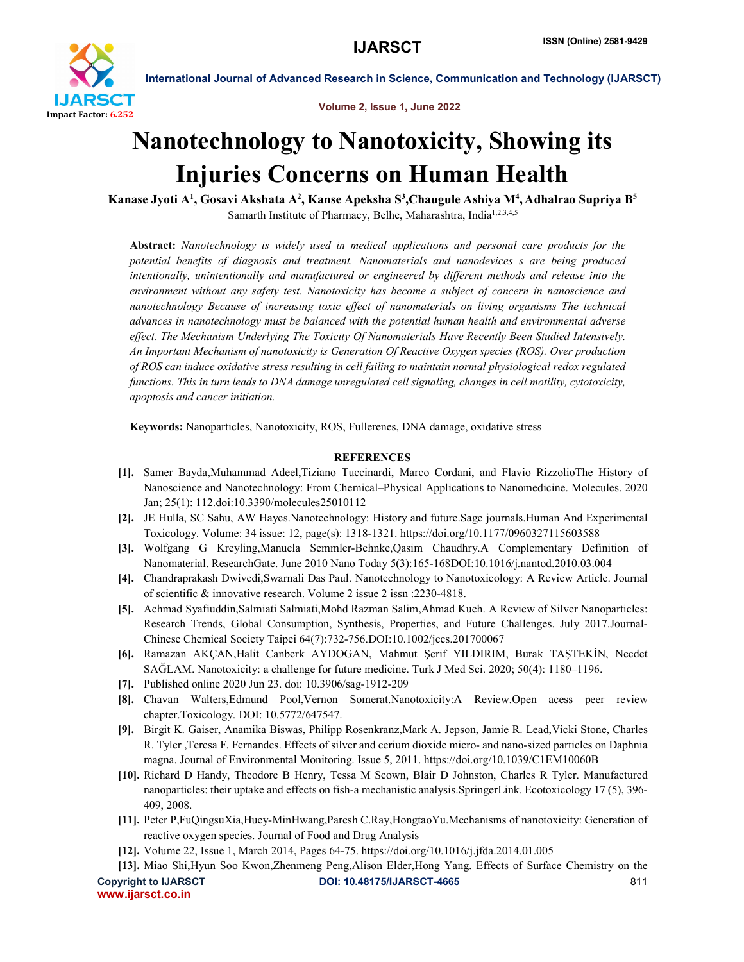

International Journal of Advanced Research in Science, Communication and Technology (IJARSCT)

Volume 2, Issue 1, June 2022

## Nanotechnology to Nanotoxicity, Showing its Injuries Concerns on Human Health

Kanase Jyoti A<sup>1</sup>, Gosavi Akshata A<sup>2</sup>, Kanse Apeksha S<sup>3</sup>,Chaugule Ashiya M<sup>4</sup>, Adhalrao Supriya B<sup>5</sup> Samarth Institute of Pharmacy, Belhe, Maharashtra, India<sup>1,2,3,4,5</sup>

Abstract: *Nanotechnology is widely used in medical applications and personal care products for the potential benefits of diagnosis and treatment. Nanomaterials and nanodevices s are being produced intentionally, unintentionally and manufactured or engineered by different methods and release into the environment without any safety test. Nanotoxicity has become a subject of concern in nanoscience and nanotechnology Because of increasing toxic effect of nanomaterials on living organisms The technical advances in nanotechnology must be balanced with the potential human health and environmental adverse effect. The Mechanism Underlying The Toxicity Of Nanomaterials Have Recently Been Studied Intensively. An Important Mechanism of nanotoxicity is Generation Of Reactive Oxygen species (ROS). Over production of ROS can induce oxidative stress resulting in cell failing to maintain normal physiological redox regulated functions. This in turn leads to DNA damage unregulated cell signaling, changes in cell motility, cytotoxicity, apoptosis and cancer initiation.*

Keywords: Nanoparticles, Nanotoxicity, ROS, Fullerenes, DNA damage, oxidative stress

## REFERENCES

- [1]. Samer Bayda,Muhammad Adeel,Tiziano Tuccinardi, Marco Cordani, and Flavio RizzolioThe History of Nanoscience and Nanotechnology: From Chemical–Physical Applications to Nanomedicine. Molecules. 2020 Jan; 25(1): 112.doi:10.3390/molecules25010112
- [2]. JE Hulla, SC Sahu, AW Hayes.Nanotechnology: History and future.Sage journals.Human And Experimental Toxicology. Volume: 34 issue: 12, page(s): 1318-1321. https://doi.org/10.1177/0960327115603588
- [3]. Wolfgang G Kreyling,Manuela Semmler-Behnke,Qasim Chaudhry.A Complementary Definition of Nanomaterial. ResearchGate. June 2010 Nano Today 5(3):165-168DOI:10.1016/j.nantod.2010.03.004
- [4]. Chandraprakash Dwivedi,Swarnali Das Paul. Nanotechnology to Nanotoxicology: A Review Article. Journal of scientific & innovative research. Volume 2 issue 2 issn :2230-4818.
- [5]. Achmad Syafiuddin,Salmiati Salmiati,Mohd Razman Salim,Ahmad Kueh. A Review of Silver Nanoparticles: Research Trends, Global Consumption, Synthesis, Properties, and Future Challenges. July 2017.Journal-Chinese Chemical Society Taipei 64(7):732-756.DOI:10.1002/jccs.201700067
- [6]. Ramazan AKÇAN,Halit Canberk AYDOGAN, Mahmut Şerif YILDIRIM, Burak TAŞTEKİN, Necdet SAĞLAM. Nanotoxicity: a challenge for future medicine. Turk J Med Sci. 2020; 50(4): 1180–1196.
- [7]. Published online 2020 Jun 23. doi: 10.3906/sag-1912-209
- [8]. Chavan Walters,Edmund Pool,Vernon Somerat.Nanotoxicity:A Review.Open acess peer review chapter.Toxicology. DOI: 10.5772/647547.
- [9]. Birgit K. Gaiser, Anamika Biswas, Philipp Rosenkranz,Mark A. Jepson, Jamie R. Lead,Vicki Stone, Charles R. Tyler ,Teresa F. Fernandes. Effects of silver and cerium dioxide micro- and nano-sized particles on Daphnia magna. Journal of Environmental Monitoring. Issue 5, 2011. https://doi.org/10.1039/C1EM10060B
- [10]. Richard D Handy, Theodore B Henry, Tessa M Scown, Blair D Johnston, Charles R Tyler. Manufactured nanoparticles: their uptake and effects on fish-a mechanistic analysis.SpringerLink. Ecotoxicology 17 (5), 396- 409, 2008.
- [11]. Peter P,FuQingsuXia,Huey-MinHwang,Paresh C.Ray,HongtaoYu.Mechanisms of nanotoxicity: Generation of reactive oxygen species. Journal of Food and Drug Analysis
- [12]. Volume 22, Issue 1, March 2014, Pages 64-75. https://doi.org/10.1016/j.jfda.2014.01.005
- Copyright to IJARSCT **DOI: 10.48175/IJARSCT-4665** 811 [13]. Miao Shi,Hyun Soo Kwon,Zhenmeng Peng,Alison Elder,Hong Yang. Effects of Surface Chemistry on the

www.ijarsct.co.in